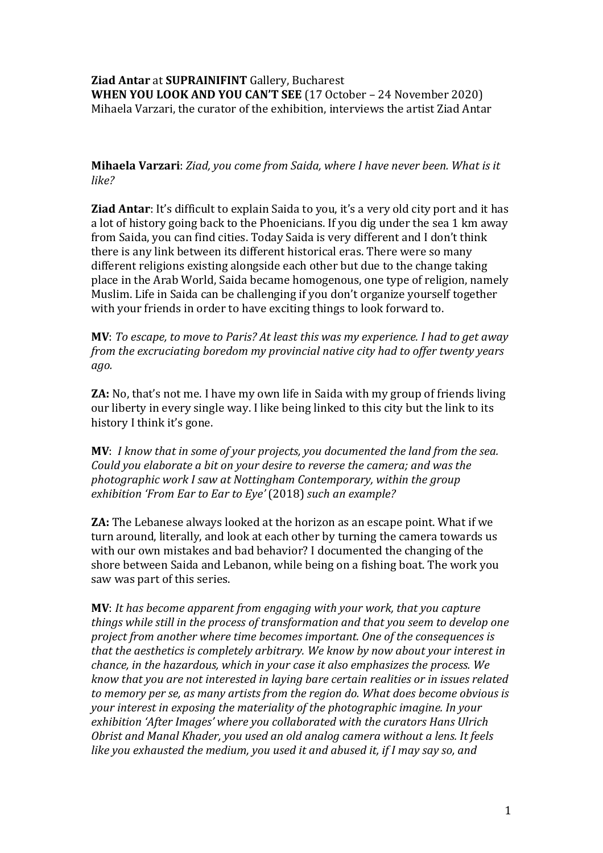**Ziad Antar** at **SUPRAINIFINT** Gallery, Bucharest **WHEN YOU LOOK AND YOU CAN'T SEE** (17 October – 24 November 2020) Mihaela Varzari, the curator of the exhibition, interviews the artist Ziad Antar

**Mihaela Varzari**: *Ziad, you come from Saida, where I have never been. What is it like?*

**Ziad Antar**: It's difficult to explain Saida to you, it's a very old city port and it has a lot of history going back to the Phoenicians. If you dig under the sea 1 km away from Saida, you can find cities. Today Saida is very different and I don't think there is any link between its different historical eras. There were so many different religions existing alongside each other but due to the change taking place in the Arab World, Saida became homogenous, one type of religion, namely Muslim. Life in Saida can be challenging if you don't organize yourself together with your friends in order to have exciting things to look forward to.

**MV**: *To escape, to move to Paris? At least this was my experience. I had to get away from the excruciating boredom my provincial native city had to offer twenty years ago.* 

**ZA:** No, that's not me. I have my own life in Saida with my group of friends living our liberty in every single way. I like being linked to this city but the link to its history I think it's gone.

**MV**: *I know that in some of your projects, you documented the land from the sea. Could you elaborate a bit on your desire to reverse the camera; and was the photographic work I saw at Nottingham Contemporary, within the group exhibition 'From Ear to Ear to Eye'* (2018) *such an example?*

**ZA:** The Lebanese always looked at the horizon as an escape point. What if we turn around, literally, and look at each other by turning the camera towards us with our own mistakes and bad behavior? I documented the changing of the shore between Saida and Lebanon, while being on a fishing boat. The work you saw was part of this series.

**MV**: *It has become apparent from engaging with your work, that you capture things while still in the process of transformation and that you seem to develop one project from another where time becomes important. One of the consequences is that the aesthetics is completely arbitrary. We know by now about your interest in chance, in the hazardous, which in your case it also emphasizes the process. We know that you are not interested in laying bare certain realities or in issues related to memory per se, as many artists from the region do. What does become obvious is your interest in exposing the materiality of the photographic imagine. In your exhibition 'After Images' where you collaborated with the curators Hans Ulrich Obrist and Manal Khader, you used an old analog camera without a lens. It feels like you exhausted the medium, you used it and abused it, if I may say so, and*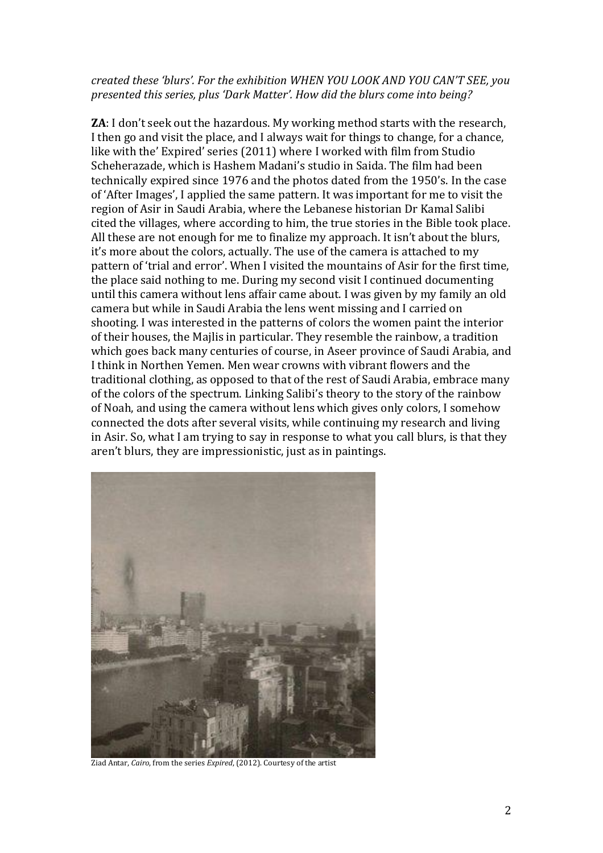## *created these 'blurs'. For the exhibition WHEN YOU LOOK AND YOU CAN'T SEE, you presented this series, plus 'Dark Matter'. How did the blurs come into being?*

**ZA**: I don't seek out the hazardous. My working method starts with the research, I then go and visit the place, and I always wait for things to change, for a chance, like with the' Expired' series (2011) where I worked with film from Studio Scheherazade, which is Hashem Madani's studio in Saida. The film had been technically expired since 1976 and the photos dated from the 1950's. In the case of 'After Images', I applied the same pattern. It was important for me to visit the region of Asir in Saudi Arabia, where the Lebanese historian Dr Kamal Salibi cited the villages, where according to him, the true stories in the Bible took place. All these are not enough for me to finalize my approach. It isn't about the blurs, it's more about the colors, actually. The use of the camera is attached to my pattern of 'trial and error'. When I visited the mountains of Asir for the first time, the place said nothing to me. During my second visit I continued documenting until this camera without lens affair came about. I was given by my family an old camera but while in Saudi Arabia the lens went missing and I carried on shooting. I was interested in the patterns of colors the women paint the interior of their houses, the Majlis in particular. They resemble the rainbow, a tradition which goes back many centuries of course, in Aseer province of Saudi Arabia, and I think in Northen Yemen. Men wear crowns with vibrant flowers and the traditional clothing, as opposed to that of the rest of Saudi Arabia, embrace many of the colors of the spectrum. Linking Salibi's theory to the story of the rainbow of Noah, and using the camera without lens which gives only colors, I somehow connected the dots after several visits, while continuing my research and living in Asir. So, what I am trying to say in response to what you call blurs, is that they aren't blurs, they are impressionistic, just as in paintings.



Ziad Antar, *Cairo*, from the series *Expired*, (2012). Courtesy of the artist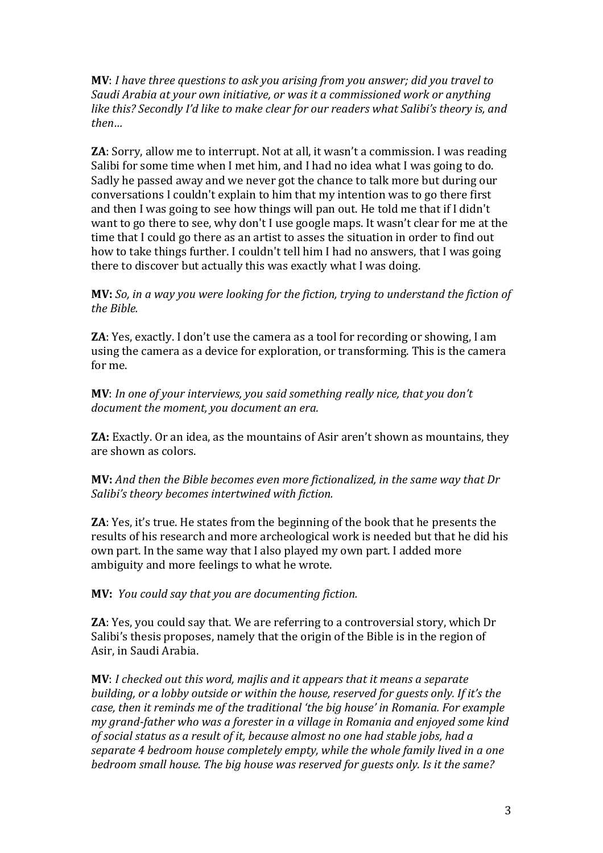**MV**: *I have three questions to ask you arising from you answer; did you travel to Saudi Arabia at your own initiative, or was it a commissioned work or anything like this? Secondly I'd like to make clear for our readers what Salibi's theory is, and then…*

**ZA**: Sorry, allow me to interrupt. Not at all, it wasn't a commission. I was reading Salibi for some time when I met him, and I had no idea what I was going to do. Sadly he passed away and we never got the chance to talk more but during our conversations I couldn't explain to him that my intention was to go there first and then I was going to see how things will pan out. He told me that if I didn't want to go there to see, why don't I use google maps. It wasn't clear for me at the time that I could go there as an artist to asses the situation in order to find out how to take things further. I couldn't tell him I had no answers, that I was going there to discover but actually this was exactly what I was doing.

**MV:** *So, in a way you were looking for the fiction, trying to understand the fiction of the Bible.* 

**ZA**: Yes, exactly. I don't use the camera as a tool for recording or showing, I am using the camera as a device for exploration, or transforming. This is the camera for me.

**MV**: *In one of your interviews, you said something really nice, that you don't document the moment, you document an era.*

**ZA:** Exactly. Or an idea, as the mountains of Asir aren't shown as mountains, they are shown as colors.

**MV:** *And then the Bible becomes even more fictionalized, in the same way that Dr Salibi's theory becomes intertwined with fiction.* 

**ZA**: Yes, it's true. He states from the beginning of the book that he presents the results of his research and more archeological work is needed but that he did his own part. In the same way that I also played my own part. I added more ambiguity and more feelings to what he wrote.

**MV:** *You could say that you are documenting fiction.*

**ZA**: Yes, you could say that. We are referring to a controversial story, which Dr Salibi's thesis proposes, namely that the origin of the Bible is in the region of Asir, in Saudi Arabia.

**MV**: *I checked out this word, majlis and it appears that it means a separate building, or a lobby outside or within the house, reserved for guests only. If it's the case, then it reminds me of the traditional 'the big house' in Romania. For example my grand-father who was a forester in a village in Romania and enjoyed some kind of social status as a result of it, because almost no one had stable jobs, had a separate 4 bedroom house completely empty, while the whole family lived in a one bedroom small house. The big house was reserved for guests only. Is it the same?*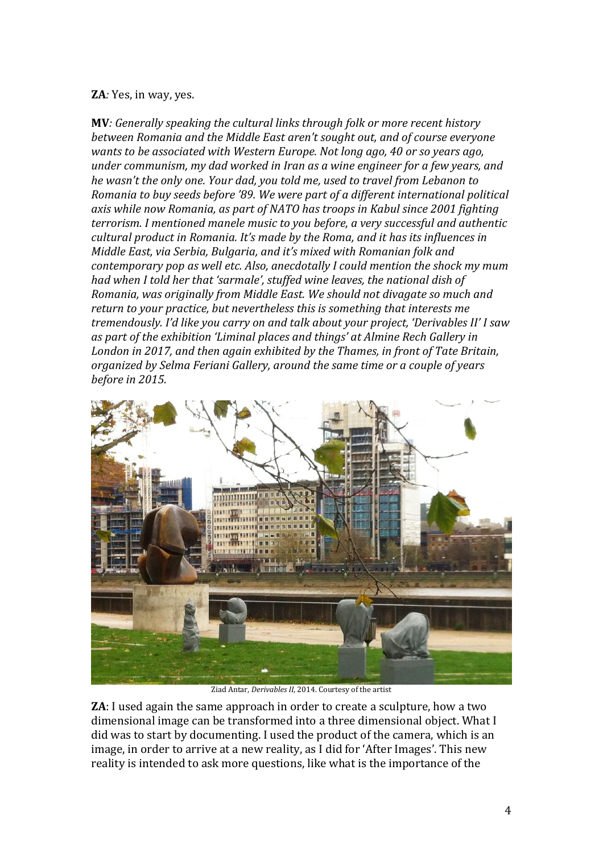### **ZA***:* Yes, in way, yes.

**MV***: Generally speaking the cultural links through folk or more recent history between Romania and the Middle East aren't sought out, and of course everyone wants to be associated with Western Europe. Not long ago, 40 or so years ago, under communism, my dad worked in Iran as a wine engineer for a few years, and he wasn't the only one. Your dad, you told me, used to travel from Lebanon to Romania to buy seeds before '89. We were part of a different international political axis while now Romania, as part of NATO has troops in Kabul since 2001 fighting terrorism. I mentioned manele music to you before, a very successful and authentic cultural product in Romania. It's made by the Roma, and it has its influences in Middle East, via Serbia, Bulgaria, and it's mixed with Romanian folk and contemporary pop as well etc. Also, anecdotally I could mention the shock my mum had when I told her that 'sarmale', stuffed wine leaves, the national dish of Romania, was originally from Middle East. We should not divagate so much and return to your practice, but nevertheless this is something that interests me tremendously. I'd like you carry on and talk about your project, 'Derivables II' I saw as part of the exhibition 'Liminal places and things' at Almine Rech Gallery in London in 2017, and then again exhibited by the Thames, in front of Tate Britain, organized by Selma Feriani Gallery, around the same time or a couple of years before in 2015.*



Ziad Antar, *Derivables II*, 2014. Courtesy of the artist

**ZA**: I used again the same approach in order to create a sculpture, how a two dimensional image can be transformed into a three dimensional object. What I did was to start by documenting. I used the product of the camera, which is an image, in order to arrive at a new reality, as I did for 'After Images'. This new reality is intended to ask more questions, like what is the importance of the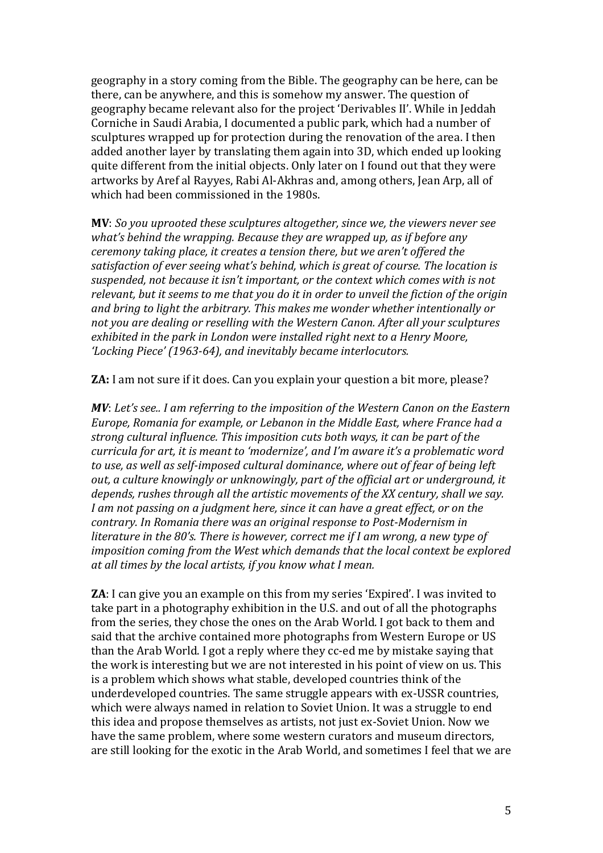geography in a story coming from the Bible. The geography can be here, can be there, can be anywhere, and this is somehow my answer. The question of geography became relevant also for the project 'Derivables II'. While in Jeddah Corniche in Saudi Arabia, I documented a public park, which had a number of sculptures wrapped up for protection during the renovation of the area. I then added another layer by translating them again into 3D, which ended up looking quite different from the initial objects. Only later on I found out that they were artworks by Aref al Rayyes, Rabi Al-Akhras and, among others, Jean Arp, all of which had been commissioned in the 1980s.

**MV**: *So you uprooted these sculptures altogether, since we, the viewers never see what's behind the wrapping. Because they are wrapped up, as if before any ceremony taking place, it creates a tension there, but we aren't offered the satisfaction of ever seeing what's behind, which is great of course. The location is suspended, not because it isn't important, or the context which comes with is not relevant, but it seems to me that you do it in order to unveil the fiction of the origin and bring to light the arbitrary. This makes me wonder whether intentionally or not you are dealing or reselling with the Western Canon. After all your sculptures exhibited in the park in London were installed right next to a Henry Moore, 'Locking Piece' (1963-64), and inevitably became interlocutors.* 

**ZA:** I am not sure if it does. Can you explain your question a bit more, please?

*MV*: *Let's see.. I am referring to the imposition of the Western Canon on the Eastern Europe, Romania for example, or Lebanon in the Middle East, where France had a strong cultural influence. This imposition cuts both ways, it can be part of the curricula for art, it is meant to 'modernize', and I'm aware it's a problematic word to use, as well as self-imposed cultural dominance, where out of fear of being left out, a culture knowingly or unknowingly, part of the official art or underground, it depends, rushes through all the artistic movements of the XX century, shall we say. I am not passing on a judgment here, since it can have a great effect, or on the contrary. In Romania there was an original response to Post-Modernism in literature in the 80's. There is however, correct me if I am wrong, a new type of imposition coming from the West which demands that the local context be explored at all times by the local artists, if you know what I mean.* 

**ZA**: I can give you an example on this from my series 'Expired'. I was invited to take part in a photography exhibition in the U.S. and out of all the photographs from the series, they chose the ones on the Arab World. I got back to them and said that the archive contained more photographs from Western Europe or US than the Arab World. I got a reply where they cc-ed me by mistake saying that the work is interesting but we are not interested in his point of view on us. This is a problem which shows what stable, developed countries think of the underdeveloped countries. The same struggle appears with ex-USSR countries, which were always named in relation to Soviet Union. It was a struggle to end this idea and propose themselves as artists, not just ex-Soviet Union. Now we have the same problem, where some western curators and museum directors, are still looking for the exotic in the Arab World, and sometimes I feel that we are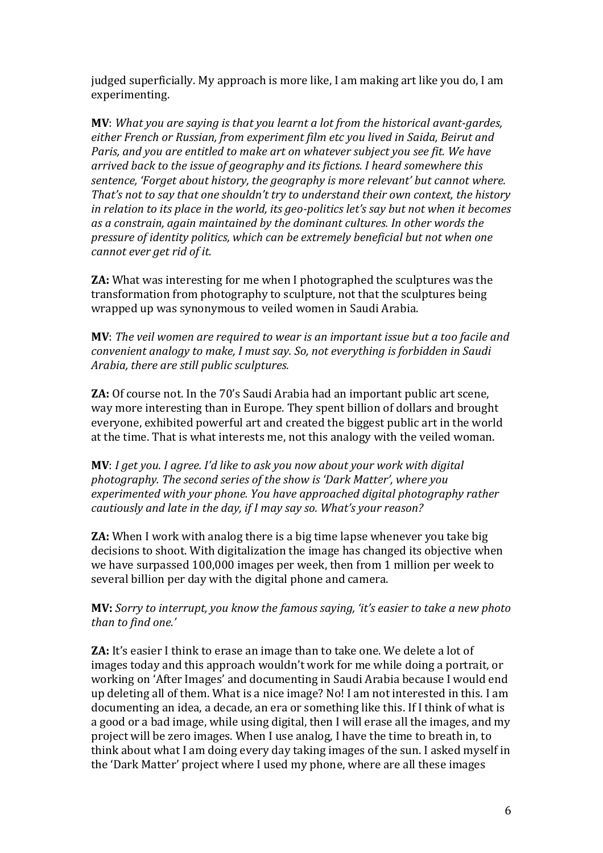judged superficially. My approach is more like, I am making art like you do, I am experimenting.

**MV**: *What you are saying is that you learnt a lot from the historical avant-gardes, either French or Russian, from experiment film etc you lived in Saida, Beirut and Paris, and you are entitled to make art on whatever subject you see fit. We have arrived back to the issue of geography and its fictions. I heard somewhere this sentence, 'Forget about history, the geography is more relevant' but cannot where. That's not to say that one shouldn't try to understand their own context, the history in relation to its place in the world, its geo-politics let's say but not when it becomes as a constrain, again maintained by the dominant cultures. In other words the pressure of identity politics, which can be extremely beneficial but not when one cannot ever get rid of it.*

**ZA:** What was interesting for me when I photographed the sculptures was the transformation from photography to sculpture, not that the sculptures being wrapped up was synonymous to veiled women in Saudi Arabia.

**MV**: *The veil women are required to wear is an important issue but a too facile and convenient analogy to make, I must say. So, not everything is forbidden in Saudi Arabia, there are still public sculptures.* 

**ZA:** Of course not. In the 70's Saudi Arabia had an important public art scene, way more interesting than in Europe. They spent billion of dollars and brought everyone, exhibited powerful art and created the biggest public art in the world at the time. That is what interests me, not this analogy with the veiled woman.

**MV**: *I get you. I agree. I'd like to ask you now about your work with digital photography. The second series of the show is 'Dark Matter', where you experimented with your phone. You have approached digital photography rather cautiously and late in the day, if I may say so. What's your reason?*

**ZA:** When I work with analog there is a big time lapse whenever you take big decisions to shoot. With digitalization the image has changed its objective when we have surpassed 100,000 images per week, then from 1 million per week to several billion per day with the digital phone and camera.

**MV:** *Sorry to interrupt, you know the famous saying, 'it's easier to take a new photo than to find one.'*

**ZA:** It's easier I think to erase an image than to take one. We delete a lot of images today and this approach wouldn't work for me while doing a portrait, or working on 'After Images' and documenting in Saudi Arabia because I would end up deleting all of them. What is a nice image? No! I am not interested in this. I am documenting an idea, a decade, an era or something like this. If I think of what is a good or a bad image, while using digital, then I will erase all the images, and my project will be zero images. When I use analog, I have the time to breath in, to think about what I am doing every day taking images of the sun. I asked myself in the 'Dark Matter' project where I used my phone, where are all these images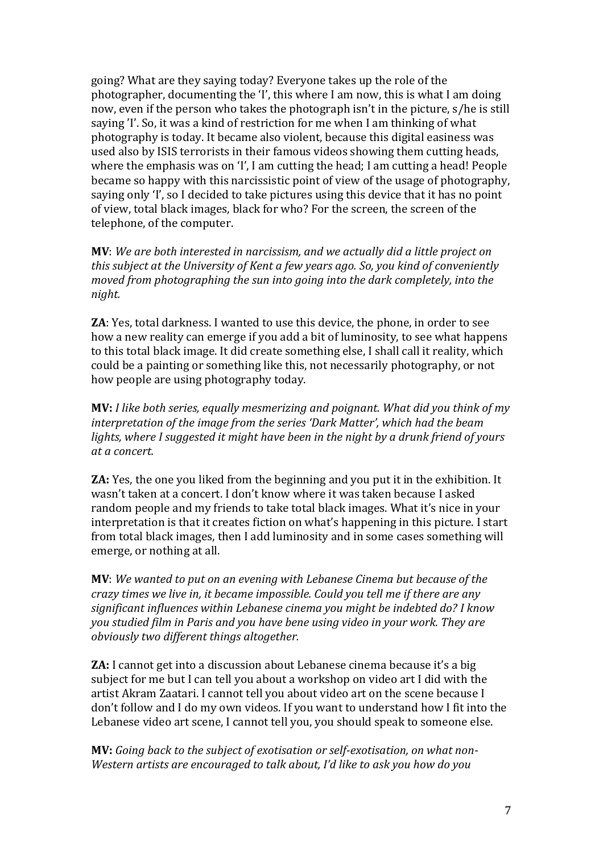going? What are they saying today? Everyone takes up the role of the photographer, documenting the 'I', this where I am now, this is what I am doing now, even if the person who takes the photograph isn't in the picture, s/he is still saying 'I'. So, it was a kind of restriction for me when I am thinking of what photography is today. It became also violent, because this digital easiness was used also by ISIS terrorists in their famous videos showing them cutting heads, where the emphasis was on 'I', I am cutting the head; I am cutting a head! People became so happy with this narcissistic point of view of the usage of photography, saying only 'I', so I decided to take pictures using this device that it has no point of view, total black images, black for who? For the screen, the screen of the telephone, of the computer.

**MV**: *We are both interested in narcissism, and we actually did a little project on this subject at the University of Kent a few years ago. So, you kind of conveniently moved from photographing the sun into going into the dark completely, into the night.* 

**ZA**: Yes, total darkness. I wanted to use this device, the phone, in order to see how a new reality can emerge if you add a bit of luminosity, to see what happens to this total black image. It did create something else, I shall call it reality, which could be a painting or something like this, not necessarily photography, or not how people are using photography today.

**MV:** *I like both series, equally mesmerizing and poignant. What did you think of my interpretation of the image from the series 'Dark Matter', which had the beam lights, where I suggested it might have been in the night by a drunk friend of yours at a concert.* 

**ZA:** Yes, the one you liked from the beginning and you put it in the exhibition. It wasn't taken at a concert. I don't know where it was taken because I asked random people and my friends to take total black images. What it's nice in your interpretation is that it creates fiction on what's happening in this picture. I start from total black images, then I add luminosity and in some cases something will emerge, or nothing at all.

**MV**: *We wanted to put on an evening with Lebanese Cinema but because of the crazy times we live in, it became impossible. Could you tell me if there are any significant influences within Lebanese cinema you might be indebted do? I know you studied film in Paris and you have bene using video in your work. They are obviously two different things altogether.* 

**ZA:** I cannot get into a discussion about Lebanese cinema because it's a big subject for me but I can tell you about a workshop on video art I did with the artist Akram Zaatari. I cannot tell you about video art on the scene because I don't follow and I do my own videos. If you want to understand how I fit into the Lebanese video art scene, I cannot tell you, you should speak to someone else.

**MV:** *Going back to the subject of exotisation or self-exotisation, on what non-Western artists are encouraged to talk about, I'd like to ask you how do you*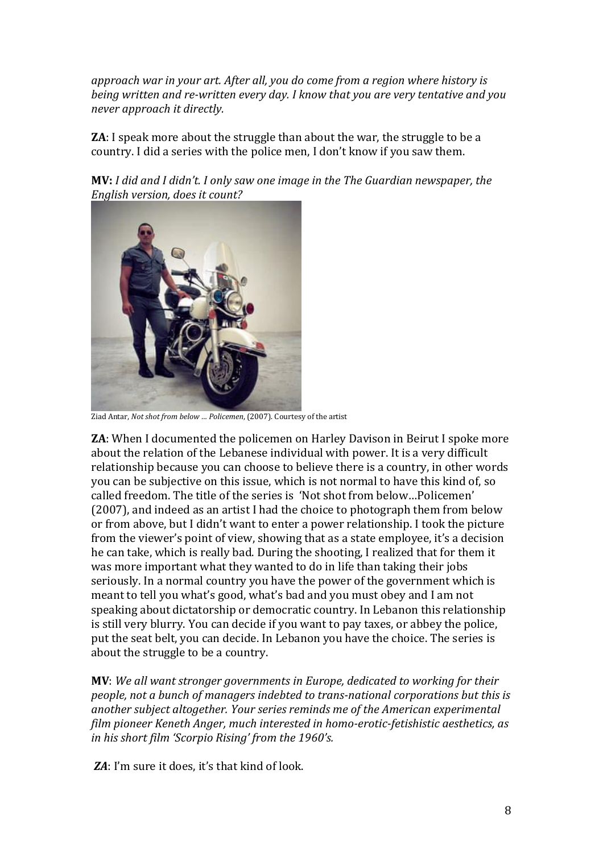*approach war in your art. After all, you do come from a region where history is being written and re-written every day. I know that you are very tentative and you never approach it directly.* 

**ZA**: I speak more about the struggle than about the war, the struggle to be a country. I did a series with the police men, I don't know if you saw them.

**MV:** *I did and I didn't. I only saw one image in the The Guardian newspaper, the English version, does it count?*



Ziad Antar, *Not shot from below … Policemen*, (2007). Courtesy of the artist

**ZA**: When I documented the policemen on Harley Davison in Beirut I spoke more about the relation of the Lebanese individual with power. It is a very difficult relationship because you can choose to believe there is a country, in other words you can be subjective on this issue, which is not normal to have this kind of, so called freedom. The title of the series is 'Not shot from below…Policemen' (2007), and indeed as an artist I had the choice to photograph them from below or from above, but I didn't want to enter a power relationship. I took the picture from the viewer's point of view, showing that as a state employee, it's a decision he can take, which is really bad. During the shooting, I realized that for them it was more important what they wanted to do in life than taking their jobs seriously. In a normal country you have the power of the government which is meant to tell you what's good, what's bad and you must obey and I am not speaking about dictatorship or democratic country. In Lebanon this relationship is still very blurry. You can decide if you want to pay taxes, or abbey the police, put the seat belt, you can decide. In Lebanon you have the choice. The series is about the struggle to be a country.

**MV**: *We all want stronger governments in Europe, dedicated to working for their people, not a bunch of managers indebted to trans-national corporations but this is another subject altogether. Your series reminds me of the American experimental film pioneer Keneth Anger, much interested in homo-erotic-fetishistic aesthetics, as in his short film 'Scorpio Rising' from the 1960's.*

*ZA*: I'm sure it does, it's that kind of look.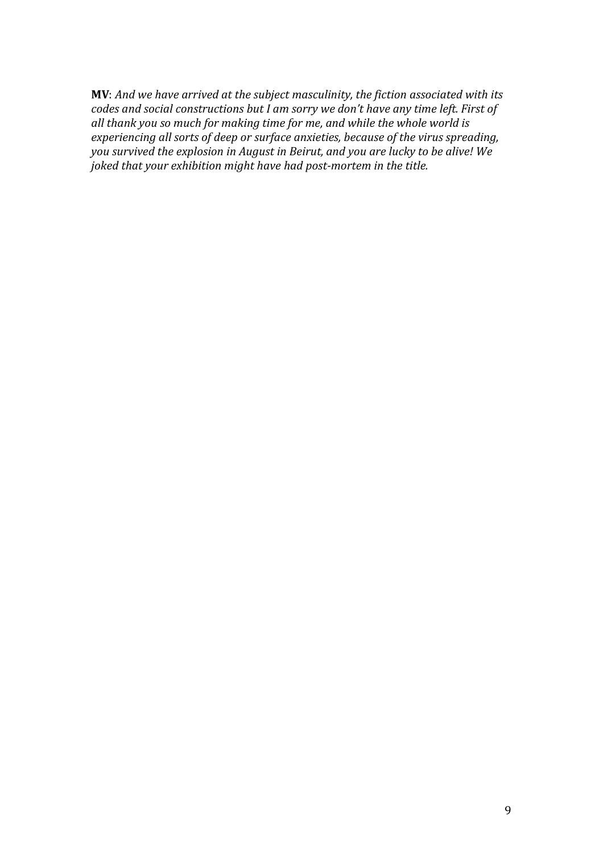**MV**: *And we have arrived at the subject masculinity, the fiction associated with its codes and social constructions but I am sorry we don't have any time left. First of all thank you so much for making time for me, and while the whole world is experiencing all sorts of deep or surface anxieties, because of the virus spreading, you survived the explosion in August in Beirut, and you are lucky to be alive! We joked that your exhibition might have had post-mortem in the title.*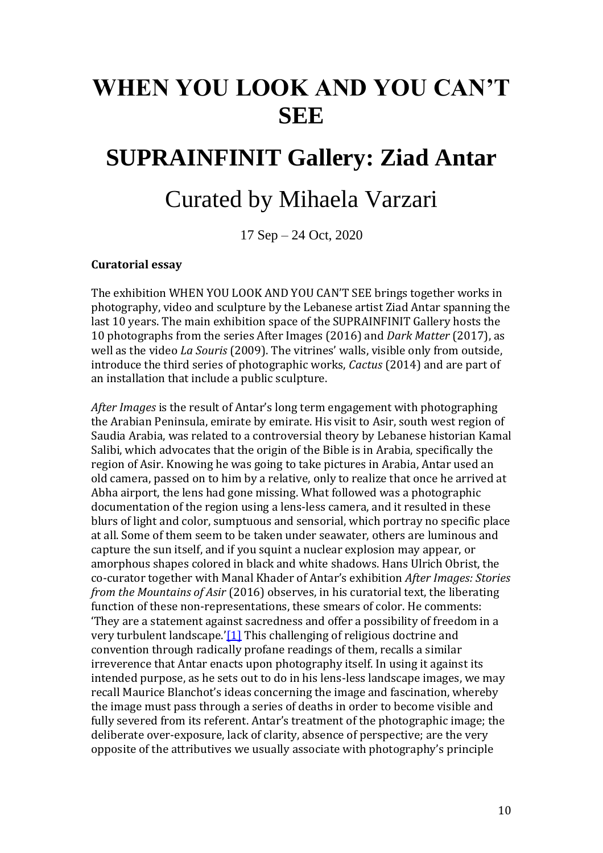# **WHEN YOU LOOK AND YOU CAN'T SEE**

# **SUPRAINFINIT Gallery: Ziad Antar**

## Curated by Mihaela Varzari

17 Sep – 24 Oct, 2020

### **Curatorial essay**

The exhibition WHEN YOU LOOK AND YOU CAN'T SEE brings together works in photography, video and sculpture by the Lebanese artist Ziad Antar spanning the last 10 years. The main exhibition space of the SUPRAINFINIT Gallery hosts the 10 photographs from the series After Images (2016) and *Dark Matter* (2017), as well as the video *La Souris* (2009). The vitrines' walls, visible only from outside, introduce the third series of photographic works, *Cactus* (2014) and are part of an installation that include a public sculpture.

*After Images* is the result of Antar's long term engagement with photographing the Arabian Peninsula, emirate by emirate. His visit to Asir, south west region of Saudia Arabia, was related to a controversial theory by Lebanese historian Kamal Salibi, which advocates that the origin of the Bible is in Arabia, specifically the region of Asir. Knowing he was going to take pictures in Arabia, Antar used an old camera, passed on to him by a relative, only to realize that once he arrived at Abha airport, the lens had gone missing. What followed was a photographic documentation of the region using a lens-less camera, and it resulted in these blurs of light and color, sumptuous and sensorial, which portray no specific place at all. Some of them seem to be taken under seawater, others are luminous and capture the sun itself, and if you squint a nuclear explosion may appear, or amorphous shapes colored in black and white shadows. Hans Ulrich Obrist, the co-curator together with Manal Khader of Antar's exhibition *After Images: Stories from the Mountains of Asir* (2016) observes, in his curatorial text, the liberating function of these non-representations, these smears of color. He comments: 'They are a statement against sacredness and offer a possibility of freedom in a very turbulent landscape.'[\[1\]](https://www.blogger.com/u/1/) This challenging of religious doctrine and convention through radically profane readings of them, recalls a similar irreverence that Antar enacts upon photography itself. In using it against its intended purpose, as he sets out to do in his lens-less landscape images, we may recall Maurice Blanchot's ideas concerning the image and fascination, whereby the image must pass through a series of deaths in order to become visible and fully severed from its referent. Antar's treatment of the photographic image; the deliberate over-exposure, lack of clarity, absence of perspective; are the very opposite of the attributives we usually associate with photography's principle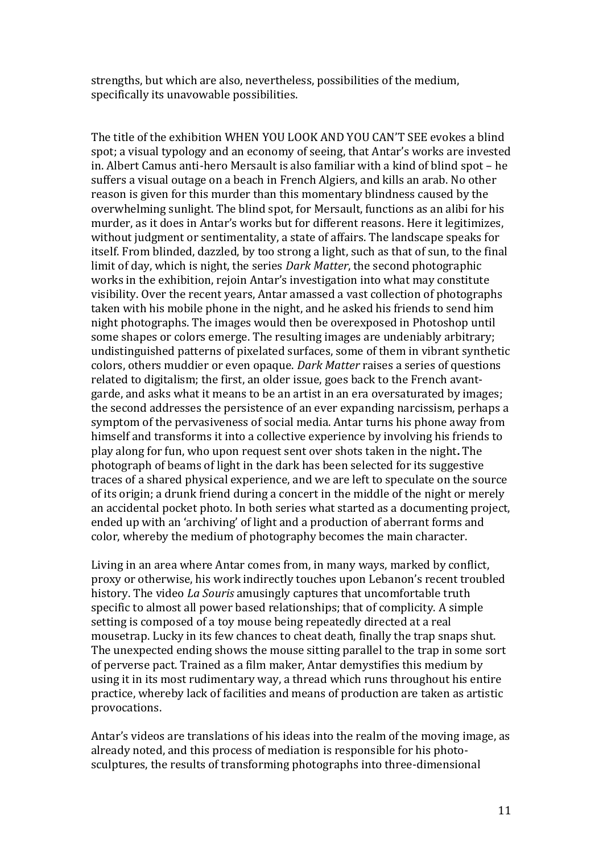strengths, but which are also, nevertheless, possibilities of the medium, specifically its unavowable possibilities.

The title of the exhibition WHEN YOU LOOK AND YOU CAN'T SEE evokes a blind spot; a visual typology and an economy of seeing, that Antar's works are invested in. Albert Camus anti-hero Mersault is also familiar with a kind of blind spot – he suffers a visual outage on a beach in French Algiers, and kills an arab. No other reason is given for this murder than this momentary blindness caused by the overwhelming sunlight. The blind spot, for Mersault, functions as an alibi for his murder, as it does in Antar's works but for different reasons. Here it legitimizes, without judgment or sentimentality, a state of affairs. The landscape speaks for itself. From blinded, dazzled, by too strong a light, such as that of sun, to the final limit of day, which is night, the series *Dark Matter*, the second photographic works in the exhibition, rejoin Antar's investigation into what may constitute visibility. Over the recent years, Antar amassed a vast collection of photographs taken with his mobile phone in the night, and he asked his friends to send him night photographs. The images would then be overexposed in Photoshop until some shapes or colors emerge. The resulting images are undeniably arbitrary; undistinguished patterns of pixelated surfaces, some of them in vibrant synthetic colors, others muddier or even opaque. *Dark Matter* raises a series of questions related to digitalism; the first, an older issue, goes back to the French avantgarde, and asks what it means to be an artist in an era oversaturated by images; the second addresses the persistence of an ever expanding narcissism, perhaps a symptom of the pervasiveness of social media. Antar turns his phone away from himself and transforms it into a collective experience by involving his friends to play along for fun, who upon request sent over shots taken in the night**.** The photograph of beams of light in the dark has been selected for its suggestive traces of a shared physical experience, and we are left to speculate on the source of its origin; a drunk friend during a concert in the middle of the night or merely an accidental pocket photo. In both series what started as a documenting project, ended up with an 'archiving' of light and a production of aberrant forms and color, whereby the medium of photography becomes the main character.

Living in an area where Antar comes from, in many ways, marked by conflict, proxy or otherwise, his work indirectly touches upon Lebanon's recent troubled history. The video *La Souris* amusingly captures that uncomfortable truth specific to almost all power based relationships; that of complicity. A simple setting is composed of a toy mouse being repeatedly directed at a real mousetrap. Lucky in its few chances to cheat death, finally the trap snaps shut. The unexpected ending shows the mouse sitting parallel to the trap in some sort of perverse pact. Trained as a film maker, Antar demystifies this medium by using it in its most rudimentary way, a thread which runs throughout his entire practice, whereby lack of facilities and means of production are taken as artistic provocations.

Antar's videos are translations of his ideas into the realm of the moving image, as already noted, and this process of mediation is responsible for his photosculptures, the results of transforming photographs into three-dimensional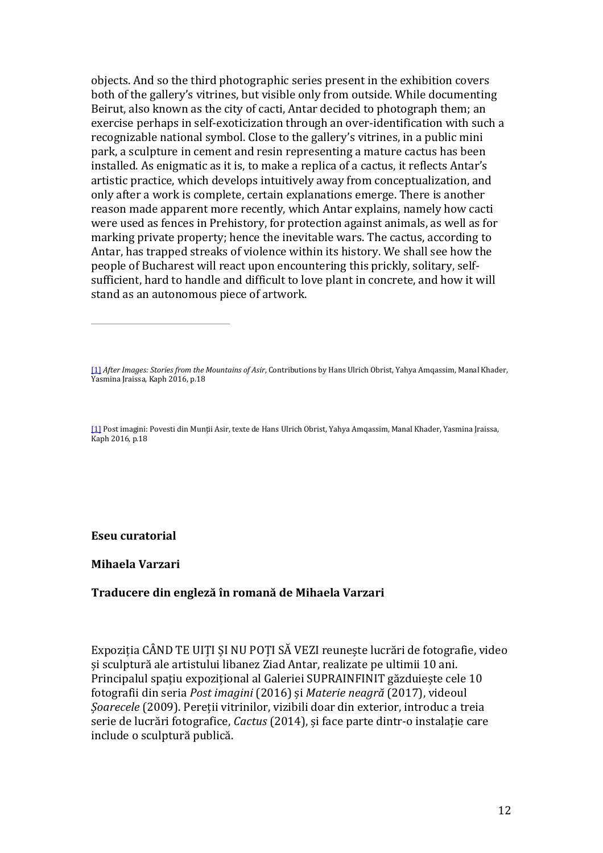objects. And so the third photographic series present in the exhibition covers both of the gallery's vitrines, but visible only from outside. While documenting Beirut, also known as the city of cacti, Antar decided to photograph them; an exercise perhaps in self-exoticization through an over-identification with such a recognizable national symbol. Close to the gallery's vitrines, in a public mini park, a sculpture in cement and resin representing a mature cactus has been installed. As enigmatic as it is, to make a replica of a cactus, it reflects Antar's artistic practice, which develops intuitively away from conceptualization, and only after a work is complete, certain explanations emerge. There is another reason made apparent more recently, which Antar explains, namely how cacti were used as fences in Prehistory, for protection against animals, as well as for marking private property; hence the inevitable wars. The cactus, according to Antar, has trapped streaks of violence within its history. We shall see how the people of Bucharest will react upon encountering this prickly, solitary, selfsufficient, hard to handle and difficult to love plant in concrete, and how it will stand as an autonomous piece of artwork.

[\[1\]](https://www.blogger.com/u/1/) *After Images: Stories from the Mountains of Asir*, Contributions by Hans Ulrich Obrist, Yahya Amqassim, Manal Khader, Yasmina Jraissa, Kaph 2016, p.18

[\[1\]](https://www.blogger.com/u/1/) Post imagini: Povesti din Munții Asir, texte de Hans Ulrich Obrist, Yahya Amqassim, Manal Khader, Yasmina Jraissa, Kaph 2016, p.18

**Eseu curatorial** 

#### **Mihaela Varzari**

### **Traducere din engleză în romană de Mihaela Varzari**

Expoziția CÂND TE UIȚI ȘI NU POȚI SĂ VEZI reunește lucrări de fotografie, video și sculptură ale artistului libanez Ziad Antar, realizate pe ultimii 10 ani. Principalul spațiu expozițional al Galeriei SUPRAINFINIT găzduiește cele 10 fotografii din seria *Post imagini* (2016) și *Materie neagră* (2017), videoul *Șoarecele* (2009). Pereții vitrinilor, vizibili doar din exterior, introduc a treia serie de lucrări fotografice, *Cactus* (2014), și face parte dintr-o instalație care include o sculptură publică.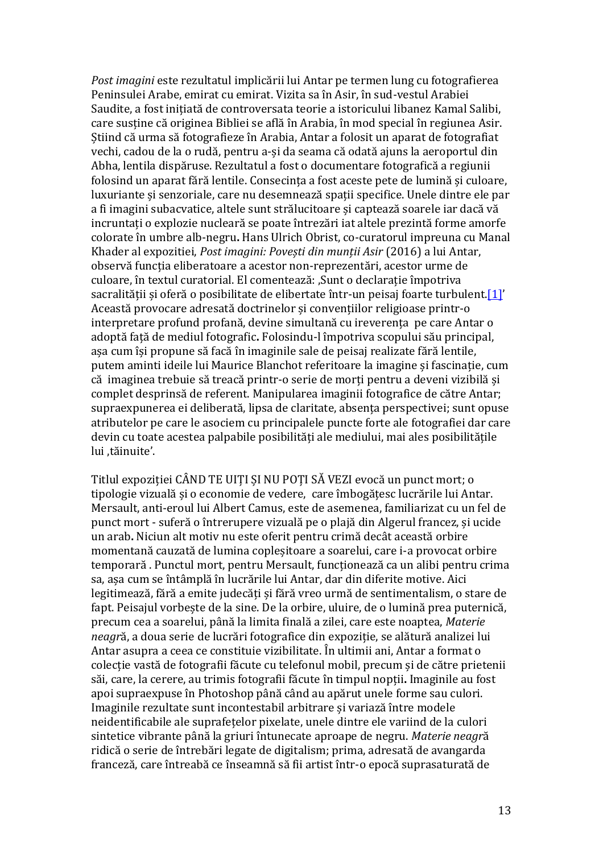*Post imagini* este rezultatul implicării lui Antar pe termen lung cu fotografierea Peninsulei Arabe, emirat cu emirat. Vizita sa în Asir, în sud-vestul Arabiei Saudite, a fost inițiată de controversata teorie a istoricului libanez Kamal Salibi, care susține că originea Bibliei se află în Arabia, în mod special în regiunea Asir. Știind că urma să fotografieze în Arabia, Antar a folosit un aparat de fotografiat vechi, cadou de la o rudă, pentru a-și da seama că odată ajuns la aeroportul din Abha, lentila dispăruse. Rezultatul a fost o documentare fotografică a regiunii folosind un aparat fără lentile. Consecința a fost aceste pete de lumină și culoare, luxuriante și senzoriale, care nu desemnează spații specifice. Unele dintre ele par a fi imagini subacvatice, altele sunt strălucitoare și captează soarele iar dacă vă incruntați o explozie nucleară se poate întrezări iat altele prezintă forme amorfe colorate în umbre alb-negru**.** Hans Ulrich Obrist, co-curatorul impreuna cu Manal Khader al expozitiei, *Post imagini: Povești din munții Asir* (2016) a lui Antar, observă funcția eliberatoare a acestor non-reprezentări, acestor urme de culoare, în textul curatorial. El comentează: "Sunt o declarație împotriva sacralității și oferă o posibilitate de elibertate într-un peisaj foarte turbulen[t.\[1\]](https://www.blogger.com/u/1/)' Această provocare adresată doctrinelor și convențiilor religioase printr-o interpretare profund profană, devine simultană cu ireverența pe care Antar o adoptă față de mediul fotografic**.** Folosindu-l împotriva scopului său principal, așa cum își propune să facă în imaginile sale de peisaj realizate fără lentile, putem aminti ideile lui Maurice Blanchot referitoare la imagine și fascinație, cum că imaginea trebuie să treacă printr-o serie de morți pentru a deveni vizibilă și complet desprinsă de referent. Manipularea imaginii fotografice de către Antar; supraexpunerea ei deliberată, lipsa de claritate, absența perspectivei; sunt opuse atributelor pe care le asociem cu principalele puncte forte ale fotografiei dar care devin cu toate acestea palpabile posibilități ale mediului, mai ales posibilitățile lui ,tăinuite'.

Titlul expoziției CÂND TE UIȚI ȘI NU POȚI SĂ VEZI evocă un punct mort; o tipologie vizuală și o economie de vedere, care îmbogățesc lucrările lui Antar. Mersault, anti-eroul lui Albert Camus, este de asemenea, familiarizat cu un fel de punct mort - suferă o întrerupere vizuală pe o plajă din Algerul francez, și ucide un arab**.** Niciun alt motiv nu este oferit pentru crimă decât această orbire momentană cauzată de lumina copleșitoare a soarelui, care i-a provocat orbire temporară . Punctul mort, pentru Mersault, funcționează ca un alibi pentru crima sa, așa cum se întâmplă în lucrările lui Antar, dar din diferite motive. Aici legitimează, fără a emite judecăți și fără vreo urmă de sentimentalism, o stare de fapt. Peisajul vorbește de la sine. De la orbire, uluire, de o lumină prea puternică, precum cea a soarelui, până la limita finală a zilei, care este noaptea, *Materie neagr*ă, a doua serie de lucrări fotografice din expoziție, se alătură analizei lui Antar asupra a ceea ce constituie vizibilitate. În ultimii ani, Antar a format o colecție vastă de fotografii făcute cu telefonul mobil, precum și de către prietenii săi, care, la cerere, au trimis fotografii făcute în timpul nopții**.** Imaginile au fost apoi supraexpuse în Photoshop până când au apărut unele forme sau culori. Imaginile rezultate sunt incontestabil arbitrare și variază între modele neidentificabile ale suprafețelor pixelate, unele dintre ele variind de la culori sintetice vibrante până la griuri întunecate aproape de negru. *Materie neagr*ă ridică o serie de întrebări legate de digitalism; prima, adresată de avangarda franceză, care întreabă ce înseamnă să fii artist într-o epocă suprasaturată de